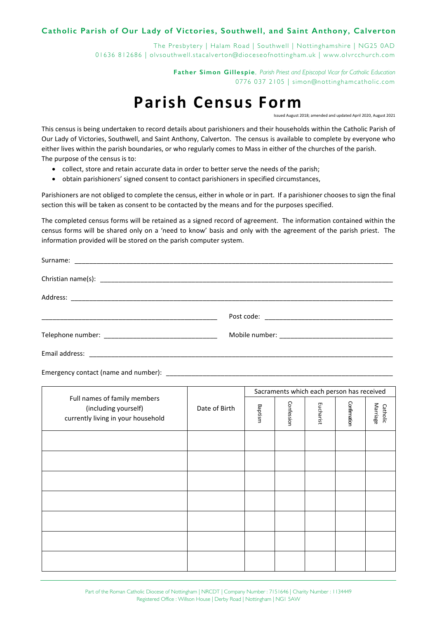## Catholic Parish of Our Lady of Victories, Southwell, and Saint Anthony, Calverton

The Presbytery | Halam Road | Southwell | Nottinghamshire | NG25 0AD 01636 812686 | olvsouthwell.stacalverton@dioceseofnottingham.uk | www.olvrcchurch.com

> Father Simon Gillespie. Parish Priest and Ebiscobal Vicar for Catholic Education 0776 037 2105 | simon@nottinghamcatholic.com

## **Parish Census Form**

Issued August 2018; amended and updated April 2020, August 2021

This census is being undertaken to record details about parishioners and their households within the Catholic Parish of Our Lady of Victories, Southwell, and Saint Anthony, Calverton. The census is available to complete by everyone who either lives within the parish boundaries, or who regularly comes to Mass in either of the churches of the parish. The purpose of the census is to:

- collect, store and retain accurate data in order to better serve the needs of the parish;  $\bullet$
- obtain parishioners' signed consent to contact parishioners in specified circumstances,

Parishioners are not obliged to complete the census, either in whole or in part. If a parishioner chooses to sign the final section this will be taken as consent to be contacted by the means and for the purposes specified.

The completed census forms will be retained as a signed record of agreement. The information contained within the census forms will be shared only on a 'need to know' basis and only with the agreement of the parish priest. The information provided will be stored on the parish computer system.

| Email address: |  |
|----------------|--|

Emergency contact (name and number):

| Full names of family members<br>(including yourself)<br>currently living in your household | Date of Birth | Sacraments which each person has received |            |           |              |                      |
|--------------------------------------------------------------------------------------------|---------------|-------------------------------------------|------------|-----------|--------------|----------------------|
|                                                                                            |               | Baptism                                   | Confession | Eucharist | Confirmation | Marriage<br>Catholic |
|                                                                                            |               |                                           |            |           |              |                      |
|                                                                                            |               |                                           |            |           |              |                      |
|                                                                                            |               |                                           |            |           |              |                      |
|                                                                                            |               |                                           |            |           |              |                      |
|                                                                                            |               |                                           |            |           |              |                      |
|                                                                                            |               |                                           |            |           |              |                      |
|                                                                                            |               |                                           |            |           |              |                      |